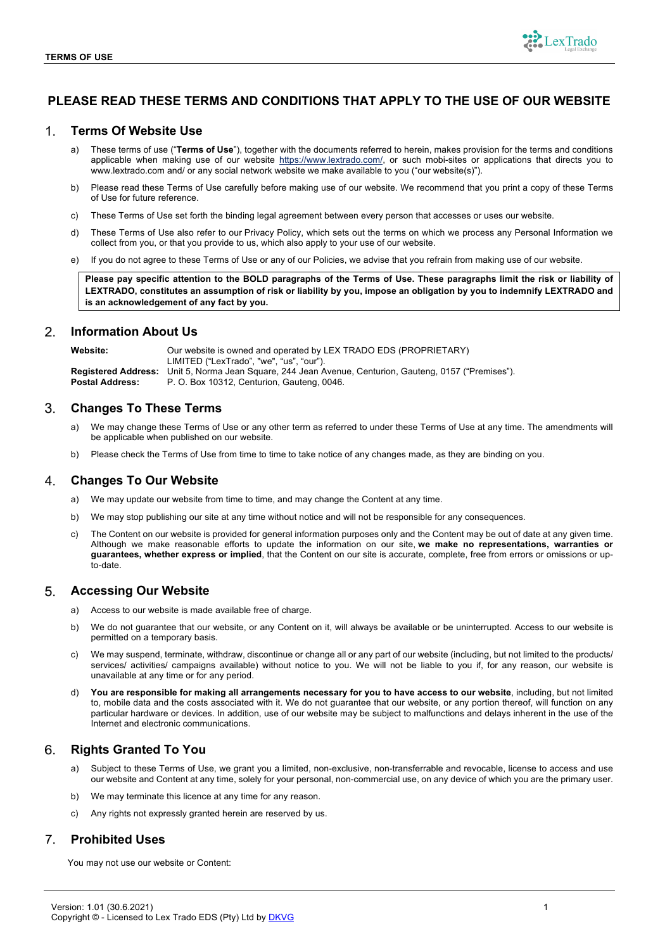

# **PLEASE READ THESE TERMS AND CONDITIONS THAT APPLY TO THE USE OF OUR WEBSITE**

#### $1<sub>1</sub>$ **Terms Of Website Use**

- a) These terms of use ("**Terms of Use**"), together with the documents referred to herein, makes provision for the terms and conditions applicable when making use of our website https://www.lextrado.com/, or such mobi-sites or applications that directs you to www.lextrado.com and/ or any social network website we make available to you ("our website(s)").
- b) Please read these Terms of Use carefully before making use of our website. We recommend that you print a copy of these Terms of Use for future reference.
- c) These Terms of Use set forth the binding legal agreement between every person that accesses or uses our website.
- d) These Terms of Use also refer to our Privacy Policy, which sets out the terms on which we process any Personal Information we collect from you, or that you provide to us, which also apply to your use of our website.
- e) If you do not agree to these Terms of Use or any of our Policies, we advise that you refrain from making use of our website.

**Please pay specific attention to the BOLD paragraphs of the Terms of Use. These paragraphs limit the risk or liability of LEXTRADO, constitutes an assumption of risk or liability by you, impose an obligation by you to indemnify LEXTRADO and is an acknowledgement of any fact by you.**

#### $\mathcal{P}_{\mathcal{C}}$ **Information About Us**

**Website:** Our website is owned and operated by LEX TRADO EDS (PROPRIETARY) LIMITED ("LexTrado", "we", "us", "our"). **Registered Address:** Unit 5, Norma Jean Square, 244 Jean Avenue, Centurion, Gauteng, 0157 ("Premises"). **Postal Address:** P. O. Box 10312, Centurion, Gauteng, 0046.

#### 3. **Changes To These Terms**

- We may change these Terms of Use or any other term as referred to under these Terms of Use at any time. The amendments will be applicable when published on our website.
- b) Please check the Terms of Use from time to time to take notice of any changes made, as they are binding on you.

#### 4. **Changes To Our Website**

- a) We may update our website from time to time, and may change the Content at any time.
- b) We may stop publishing our site at any time without notice and will not be responsible for any consequences.
- c) The Content on our website is provided for general information purposes only and the Content may be out of date at any given time. Although we make reasonable efforts to update the information on our site, **we make no representations, warranties or guarantees, whether express or implied**, that the Content on our site is accurate, complete, free from errors or omissions or upto-date.

#### **Accessing Our Website** 5.

- a) Access to our website is made available free of charge.
- b) We do not guarantee that our website, or any Content on it, will always be available or be uninterrupted. Access to our website is permitted on a temporary basis.
- We may suspend, terminate, withdraw, discontinue or change all or any part of our website (including, but not limited to the products/ services/ activities/ campaigns available) without notice to you. We will not be liable to you if, for any reason, our website is unavailable at any time or for any period.
- You are responsible for making all arrangements necessary for you to have access to our website, including, but not limited to, mobile data and the costs associated with it. We do not guarantee that our website, or any portion thereof, will function on any particular hardware or devices. In addition, use of our website may be subject to malfunctions and delays inherent in the use of the Internet and electronic communications.

#### 6. **Rights Granted To You**

- a) Subject to these Terms of Use, we grant you a limited, non-exclusive, non-transferrable and revocable, license to access and use our website and Content at any time, solely for your personal, non-commercial use, on any device of which you are the primary user.
- b) We may terminate this licence at any time for any reason.
- c) Any rights not expressly granted herein are reserved by us.

#### $\overline{7}$ **Prohibited Uses**

You may not use our website or Content: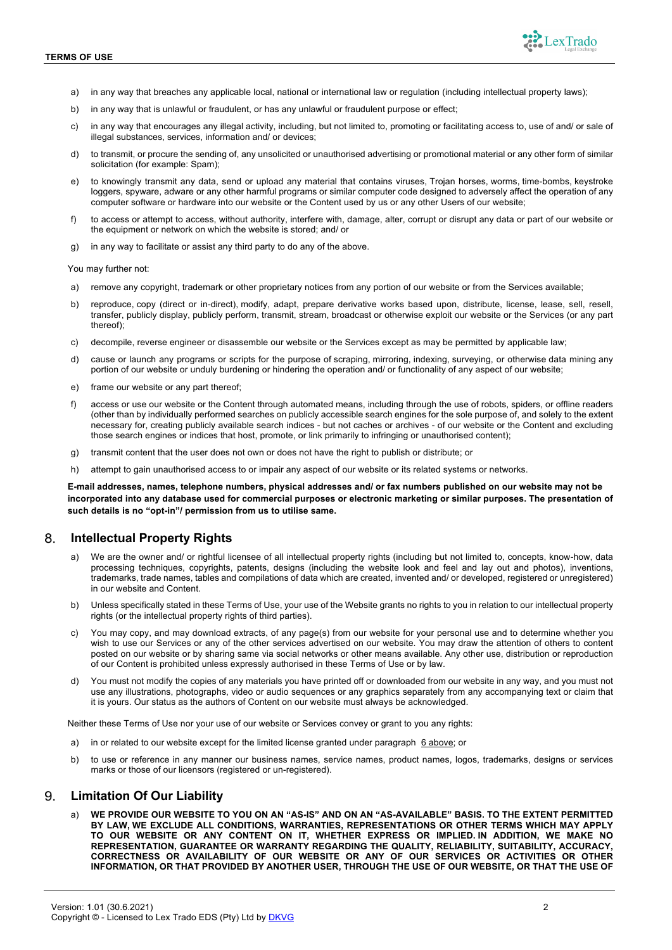

- a) in any way that breaches any applicable local, national or international law or regulation (including intellectual property laws);
- b) in any way that is unlawful or fraudulent, or has any unlawful or fraudulent purpose or effect;
- c) in any way that encourages any illegal activity, including, but not limited to, promoting or facilitating access to, use of and/ or sale of illegal substances, services, information and/ or devices;
- d) to transmit, or procure the sending of, any unsolicited or unauthorised advertising or promotional material or any other form of similar solicitation (for example: Spam);
- e) to knowingly transmit any data, send or upload any material that contains viruses. Troian horses, worms, time-bombs, keystroke loggers, spyware, adware or any other harmful programs or similar computer code designed to adversely affect the operation of any computer software or hardware into our website or the Content used by us or any other Users of our website;
- f) to access or attempt to access, without authority, interfere with, damage, alter, corrupt or disrupt any data or part of our website or the equipment or network on which the website is stored; and/ or
- g) in any way to facilitate or assist any third party to do any of the above.

You may further not:

- a) remove any copyright, trademark or other proprietary notices from any portion of our website or from the Services available;
- b) reproduce, copy (direct or in-direct), modify, adapt, prepare derivative works based upon, distribute, license, lease, sell, resell, transfer, publicly display, publicly perform, transmit, stream, broadcast or otherwise exploit our website or the Services (or any part thereof);
- c) decompile, reverse engineer or disassemble our website or the Services except as may be permitted by applicable law;
- d) cause or launch any programs or scripts for the purpose of scraping, mirroring, indexing, surveying, or otherwise data mining any portion of our website or unduly burdening or hindering the operation and/ or functionality of any aspect of our website;
- e) frame our website or any part thereof;
- f) access or use our website or the Content through automated means, including through the use of robots, spiders, or offline readers (other than by individually performed searches on publicly accessible search engines for the sole purpose of, and solely to the extent necessary for, creating publicly available search indices - but not caches or archives - of our website or the Content and excluding those search engines or indices that host, promote, or link primarily to infringing or unauthorised content);
- g) transmit content that the user does not own or does not have the right to publish or distribute; or
- h) attempt to gain unauthorised access to or impair any aspect of our website or its related systems or networks.

**E-mail addresses, names, telephone numbers, physical addresses and/ or fax numbers published on our website may not be incorporated into any database used for commercial purposes or electronic marketing or similar purposes. The presentation of such details is no "opt-in"/ permission from us to utilise same.**

## **Intellectual Property Rights**

- a) We are the owner and/ or rightful licensee of all intellectual property rights (including but not limited to, concepts, know-how, data processing techniques, copyrights, patents, designs (including the website look and feel and lay out and photos), inventions, trademarks, trade names, tables and compilations of data which are created, invented and/ or developed, registered or unregistered) in our website and Content.
- b) Unless specifically stated in these Terms of Use, your use of the Website grants no rights to you in relation to our intellectual property rights (or the intellectual property rights of third parties).
- c) You may copy, and may download extracts, of any page(s) from our website for your personal use and to determine whether you wish to use our Services or any of the other services advertised on our website. You may draw the attention of others to content posted on our website or by sharing same via social networks or other means available. Any other use, distribution or reproduction of our Content is prohibited unless expressly authorised in these Terms of Use or by law.
- d) You must not modify the copies of any materials you have printed off or downloaded from our website in any way, and you must not use any illustrations, photographs, video or audio sequences or any graphics separately from any accompanying text or claim that it is yours. Our status as the authors of Content on our website must always be acknowledged.

Neither these Terms of Use nor your use of our website or Services convey or grant to you any rights:

- a) in or related to our website except for the limited license granted under paragraph 6 above; or
- b) to use or reference in any manner our business names, service names, product names, logos, trademarks, designs or services marks or those of our licensors (registered or un-registered).

#### 9. **Limitation Of Our Liability**

a) **WE PROVIDE OUR WEBSITE TO YOU ON AN "AS-IS" AND ON AN "AS-AVAILABLE" BASIS. TO THE EXTENT PERMITTED BY LAW, WE EXCLUDE ALL CONDITIONS, WARRANTIES, REPRESENTATIONS OR OTHER TERMS WHICH MAY APPLY TO OUR WEBSITE OR ANY CONTENT ON IT, WHETHER EXPRESS OR IMPLIED. IN ADDITION, WE MAKE NO REPRESENTATION, GUARANTEE OR WARRANTY REGARDING THE QUALITY, RELIABILITY, SUITABILITY, ACCURACY, CORRECTNESS OR AVAILABILITY OF OUR WEBSITE OR ANY OF OUR SERVICES OR ACTIVITIES OR OTHER INFORMATION, OR THAT PROVIDED BY ANOTHER USER, THROUGH THE USE OF OUR WEBSITE, OR THAT THE USE OF**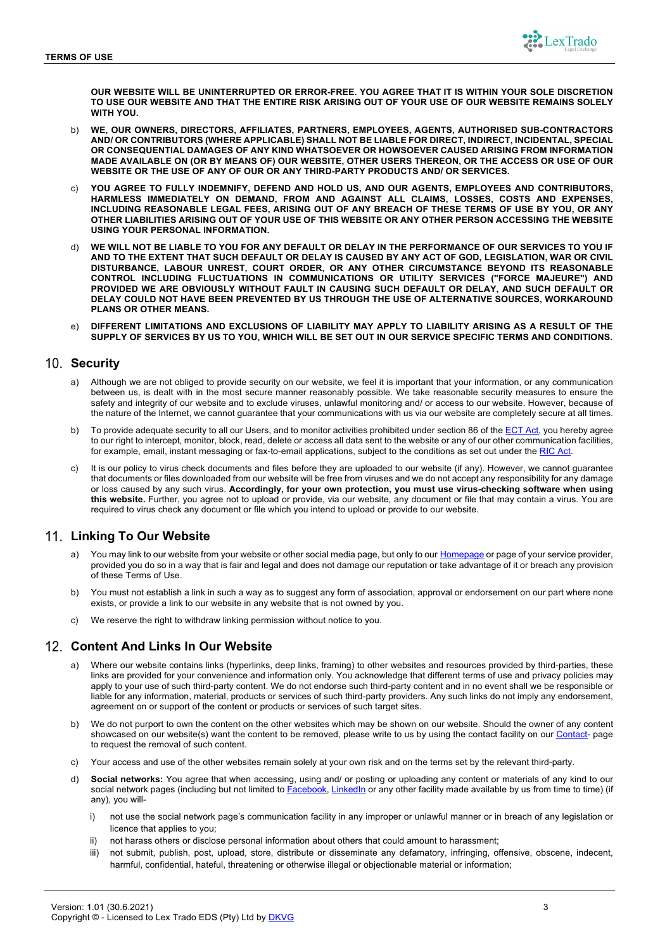

**OUR WEBSITE WILL BE UNINTERRUPTED OR ERROR-FREE. YOU AGREE THAT IT IS WITHIN YOUR SOLE DISCRETION TO USE OUR WEBSITE AND THAT THE ENTIRE RISK ARISING OUT OF YOUR USE OF OUR WEBSITE REMAINS SOLELY WITH YOU.**

- b) **WE, OUR OWNERS, DIRECTORS, AFFILIATES, PARTNERS, EMPLOYEES, AGENTS, AUTHORISED SUB-CONTRACTORS AND/ OR CONTRIBUTORS (WHERE APPLICABLE) SHALL NOT BE LIABLE FOR DIRECT, INDIRECT, INCIDENTAL, SPECIAL OR CONSEQUENTIAL DAMAGES OF ANY KIND WHATSOEVER OR HOWSOEVER CAUSED ARISING FROM INFORMATION MADE AVAILABLE ON (OR BY MEANS OF) OUR WEBSITE, OTHER USERS THEREON, OR THE ACCESS OR USE OF OUR WEBSITE OR THE USE OF ANY OF OUR OR ANY THIRD-PARTY PRODUCTS AND/ OR SERVICES.**
- YOU AGREE TO FULLY INDEMNIFY, DEFEND AND HOLD US, AND OUR AGENTS, EMPLOYEES AND CONTRIBUTORS, **HARMLESS IMMEDIATELY ON DEMAND, FROM AND AGAINST ALL CLAIMS, LOSSES, COSTS AND EXPENSES, INCLUDING REASONABLE LEGAL FEES, ARISING OUT OF ANY BREACH OF THESE TERMS OF USE BY YOU, OR ANY OTHER LIABILITIES ARISING OUT OF YOUR USE OF THIS WEBSITE OR ANY OTHER PERSON ACCESSING THE WEBSITE USING YOUR PERSONAL INFORMATION.**
- d) **WE WILL NOT BE LIABLE TO YOU FOR ANY DEFAULT OR DELAY IN THE PERFORMANCE OF OUR SERVICES TO YOU IF AND TO THE EXTENT THAT SUCH DEFAULT OR DELAY IS CAUSED BY ANY ACT OF GOD, LEGISLATION, WAR OR CIVIL DISTURBANCE, LABOUR UNREST, COURT ORDER, OR ANY OTHER CIRCUMSTANCE BEYOND ITS REASONABLE CONTROL INCLUDING FLUCTUATIONS IN COMMUNICATIONS OR UTILITY SERVICES ("FORCE MAJEURE") AND PROVIDED WE ARE OBVIOUSLY WITHOUT FAULT IN CAUSING SUCH DEFAULT OR DELAY, AND SUCH DEFAULT OR DELAY COULD NOT HAVE BEEN PREVENTED BY US THROUGH THE USE OF ALTERNATIVE SOURCES, WORKAROUND PLANS OR OTHER MEANS.**
- e) **DIFFERENT LIMITATIONS AND EXCLUSIONS OF LIABILITY MAY APPLY TO LIABILITY ARISING AS A RESULT OF THE SUPPLY OF SERVICES BY US TO YOU, WHICH WILL BE SET OUT IN OUR SERVICE SPECIFIC TERMS AND CONDITIONS.**

### 10. Security

- a) Although we are not obliged to provide security on our website, we feel it is important that your information, or any communication between us, is dealt with in the most secure manner reasonably possible. We take reasonable security measures to ensure the safety and integrity of our website and to exclude viruses, unlawful monitoring and/ or access to our website. However, because of the nature of the Internet, we cannot guarantee that your communications with us via our website are completely secure at all times.
- b) To provide adequate security to all our Users, and to monitor activities prohibited under section 86 of the **ECT Act**, you hereby agree to our right to intercept, monitor, block, read, delete or access all data sent to the website or any of our other communication facilities, for example, email, instant messaging or fax-to-email applications, subject to the conditions as set out under the RIC Act.
- It is our policy to virus check documents and files before they are uploaded to our website (if any). However, we cannot guarantee that documents or files downloaded from our website will be free from viruses and we do not accept any responsibility for any damage or loss caused by any such virus. **Accordingly, for your own protection, you must use virus-checking software when using this website.** Further, you agree not to upload or provide, via our website, any document or file that may contain a virus. You are required to virus check any document or file which you intend to upload or provide to our website.

# **Linking To Our Website**

- You may link to our website from your website or other social media page, but only to our Homepage or page of your service provider, provided you do so in a way that is fair and legal and does not damage our reputation or take advantage of it or breach any provision of these Terms of Use.
- You must not establish a link in such a way as to suggest any form of association, approval or endorsement on our part where none exists, or provide a link to our website in any website that is not owned by you.
- We reserve the right to withdraw linking permission without notice to you.

## **Content And Links In Our Website**

- a) Where our website contains links (hyperlinks, deep links, framing) to other websites and resources provided by third-parties, these links are provided for your convenience and information only. You acknowledge that different terms of use and privacy policies may apply to your use of such third-party content. We do not endorse such third-party content and in no event shall we be responsible or liable for any information, material, products or services of such third-party providers. Any such links do not imply any endorsement, agreement on or support of the content or products or services of such target sites.
- b) We do not purport to own the content on the other websites which may be shown on our website. Should the owner of any content showcased on our website(s) want the content to be removed, please write to us by using the contact facility on our Contact- page to request the removal of such content.
- c) Your access and use of the other websites remain solely at your own risk and on the terms set by the relevant third-party.
- d) **Social networks:** You agree that when accessing, using and/ or posting or uploading any content or materials of any kind to our social network pages (including but not limited to Facebook, LinkedIn or any other facility made available by us from time to time) (if any), you will
	- i) not use the social network page's communication facility in any improper or unlawful manner or in breach of any legislation or licence that applies to you;
	- ii) not harass others or disclose personal information about others that could amount to harassment;
	- iii) not submit, publish, post, upload, store, distribute or disseminate any defamatory, infringing, offensive, obscene, indecent, harmful, confidential, hateful, threatening or otherwise illegal or objectionable material or information;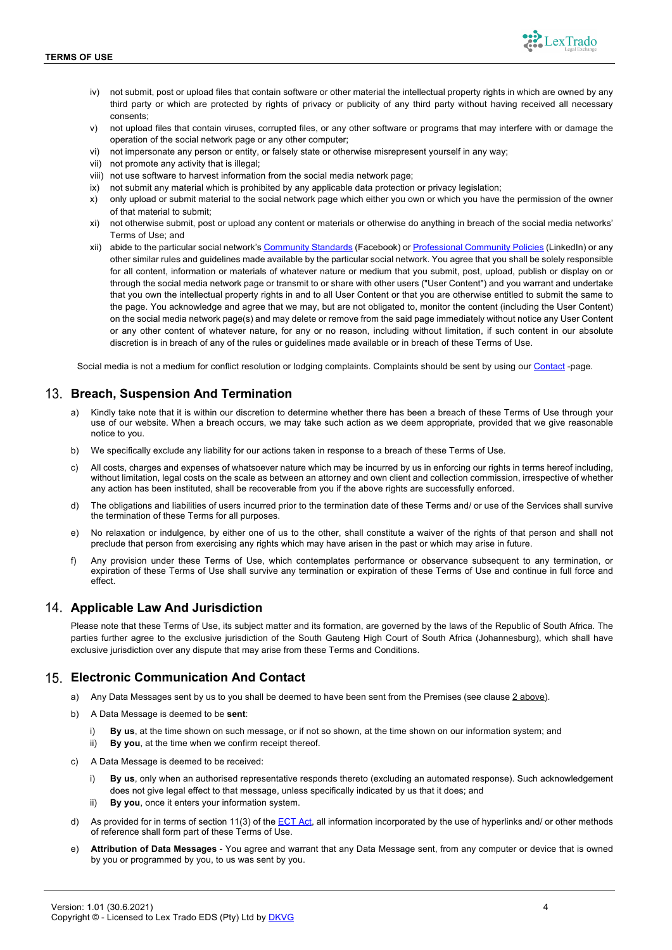

- iv) not submit, post or upload files that contain software or other material the intellectual property rights in which are owned by any third party or which are protected by rights of privacy or publicity of any third party without having received all necessary consents;
- v) not upload files that contain viruses, corrupted files, or any other software or programs that may interfere with or damage the operation of the social network page or any other computer;
- vi) not impersonate any person or entity, or falsely state or otherwise misrepresent yourself in any way;
- vii) not promote any activity that is illegal;
- viii) not use software to harvest information from the social media network page;
- ix) not submit any material which is prohibited by any applicable data protection or privacy legislation;
- x) only upload or submit material to the social network page which either you own or which you have the permission of the owner of that material to submit;
- xi) not otherwise submit, post or upload any content or materials or otherwise do anything in breach of the social media networks' Terms of Use; and
- xii) abide to the particular social network's Community Standards (Facebook) or Professional Community Policies (LinkedIn) or any other similar rules and guidelines made available by the particular social network. You agree that you shall be solely responsible for all content, information or materials of whatever nature or medium that you submit, post, upload, publish or display on or through the social media network page or transmit to or share with other users ("User Content") and you warrant and undertake that you own the intellectual property rights in and to all User Content or that you are otherwise entitled to submit the same to the page. You acknowledge and agree that we may, but are not obligated to, monitor the content (including the User Content) on the social media network page(s) and may delete or remove from the said page immediately without notice any User Content or any other content of whatever nature, for any or no reason, including without limitation, if such content in our absolute discretion is in breach of any of the rules or guidelines made available or in breach of these Terms of Use.

Social media is not a medium for conflict resolution or lodging complaints. Complaints should be sent by using our Contact -page.

# **Breach, Suspension And Termination**

- Kindly take note that it is within our discretion to determine whether there has been a breach of these Terms of Use through your use of our website. When a breach occurs, we may take such action as we deem appropriate, provided that we give reasonable notice to you.
- b) We specifically exclude any liability for our actions taken in response to a breach of these Terms of Use.
- c) All costs, charges and expenses of whatsoever nature which may be incurred by us in enforcing our rights in terms hereof including, without limitation, legal costs on the scale as between an attorney and own client and collection commission, irrespective of whether any action has been instituted, shall be recoverable from you if the above rights are successfully enforced.
- d) The obligations and liabilities of users incurred prior to the termination date of these Terms and/ or use of the Services shall survive the termination of these Terms for all purposes.
- e) No relaxation or indulgence, by either one of us to the other, shall constitute a waiver of the rights of that person and shall not preclude that person from exercising any rights which may have arisen in the past or which may arise in future.
- f) Any provision under these Terms of Use, which contemplates performance or observance subsequent to any termination, or expiration of these Terms of Use shall survive any termination or expiration of these Terms of Use and continue in full force and effect.

## **Applicable Law And Jurisdiction**

Please note that these Terms of Use, its subject matter and its formation, are governed by the laws of the Republic of South Africa. The parties further agree to the exclusive jurisdiction of the South Gauteng High Court of South Africa (Johannesburg), which shall have exclusive jurisdiction over any dispute that may arise from these Terms and Conditions.

## **Electronic Communication And Contact**

- a) Any Data Messages sent by us to you shall be deemed to have been sent from the Premises (see clause 2 above).
- b) A Data Message is deemed to be **sent**:
	- i) **By us**, at the time shown on such message, or if not so shown, at the time shown on our information system; and
	- ii) **By you**, at the time when we confirm receipt thereof.
- c) A Data Message is deemed to be received:
	- By us, only when an authorised representative responds thereto (excluding an automated response). Such acknowledgement does not give legal effect to that message, unless specifically indicated by us that it does; and
	- ii) **By you**, once it enters your information system.
- d) As provided for in terms of section 11(3) of the ECT Act, all information incorporated by the use of hyperlinks and/ or other methods of reference shall form part of these Terms of Use.
- e) **Attribution of Data Messages** You agree and warrant that any Data Message sent, from any computer or device that is owned by you or programmed by you, to us was sent by you.